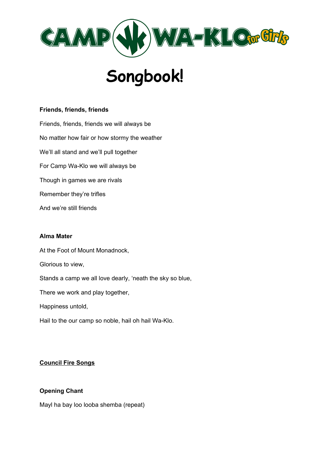

# **Songbook!**

# **Friends, friends, friends**

Friends, friends, friends we will always be No matter how fair or how stormy the weather We'll all stand and we'll pull together For Camp Wa-Klo we will always be Though in games we are rivals Remember they're trifles And we're still friends

# **Alma Mater**

At the Foot of Mount Monadnock, Glorious to view, Stands a camp we all love dearly, 'neath the sky so blue, There we work and play together, Happiness untold, Hail to the our camp so noble, hail oh hail Wa-Klo.

# **Council Fire Songs**

# **Opening Chant**

Mayl ha bay loo looba shemba (repeat)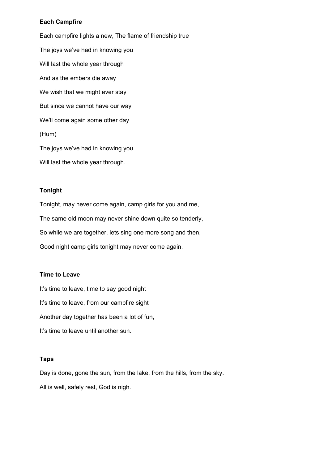## **Each Campfire**

Each campfire lights a new, The flame of friendship true The joys we've had in knowing you Will last the whole year through And as the embers die away We wish that we might ever stay But since we cannot have our way We'll come again some other day (Hum) The joys we've had in knowing you Will last the whole year through.

#### **Tonight**

Tonight, may never come again, camp girls for you and me, The same old moon may never shine down quite so tenderly, So while we are together, lets sing one more song and then, Good night camp girls tonight may never come again.

#### **Time to Leave**

It's time to leave, time to say good night It's time to leave, from our campfire sight Another day together has been a lot of fun, It's time to leave until another sun.

#### **Taps**

Day is done, gone the sun, from the lake, from the hills, from the sky. All is well, safely rest, God is nigh.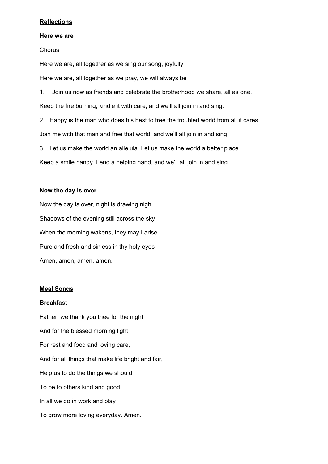#### **Reflections**

#### **Here we are**

Chorus:

Here we are, all together as we sing our song, joyfully

Here we are, all together as we pray, we will always be

1. Join us now as friends and celebrate the brotherhood we share, all as one.

Keep the fire burning, kindle it with care, and we'll all join in and sing.

2. Happy is the man who does his best to free the troubled world from all it cares.

Join me with that man and free that world, and we'll all join in and sing.

3. Let us make the world an alleluia. Let us make the world a better place.

Keep a smile handy. Lend a helping hand, and we'll all join in and sing.

# **Now the day is over**

Now the day is over, night is drawing nigh Shadows of the evening still across the sky When the morning wakens, they may I arise Pure and fresh and sinless in thy holy eyes Amen, amen, amen, amen.

## **Meal Songs**

#### **Breakfast**

Father, we thank you thee for the night, And for the blessed morning light, For rest and food and loving care, And for all things that make life bright and fair, Help us to do the things we should, To be to others kind and good, In all we do in work and play To grow more loving everyday. Amen.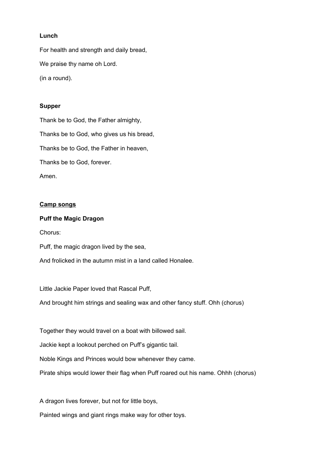## **Lunch**

For health and strength and daily bread, We praise thy name oh Lord. (in a round).

#### **Supper**

Thank be to God, the Father almighty, Thanks be to God, who gives us his bread, Thanks be to God, the Father in heaven, Thanks be to God, forever. Amen.

## **Camp songs**

#### **Puff the Magic Dragon**

Chorus:

Puff, the magic dragon lived by the sea,

And frolicked in the autumn mist in a land called Honalee.

Little Jackie Paper loved that Rascal Puff,

And brought him strings and sealing wax and other fancy stuff. Ohh (chorus)

Together they would travel on a boat with billowed sail.

Jackie kept a lookout perched on Puff's gigantic tail.

Noble Kings and Princes would bow whenever they came.

Pirate ships would lower their flag when Puff roared out his name. Ohhh (chorus)

A dragon lives forever, but not for little boys,

Painted wings and giant rings make way for other toys.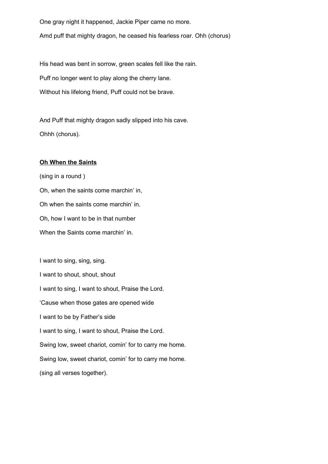One gray night it happened, Jackie Piper came no more.

Amd puff that mighty dragon, he ceased his fearless roar. Ohh (chorus)

His head was bent in sorrow, green scales fell like the rain. Puff no longer went to play along the cherry lane. Without his lifelong friend, Puff could not be brave.

And Puff that mighty dragon sadly slipped into his cave. Ohhh (chorus).

#### **Oh When the Saints**

(sing in a round ) Oh, when the saints come marchin' in, Oh when the saints come marchin' in. Oh, how I want to be in that number When the Saints come marchin' in.

I want to sing, sing, sing.

I want to shout, shout, shout I want to sing, I want to shout, Praise the Lord. 'Cause when those gates are opened wide I want to be by Father's side I want to sing, I want to shout, Praise the Lord. Swing low, sweet chariot, comin' for to carry me home. Swing low, sweet chariot, comin' for to carry me home. (sing all verses together).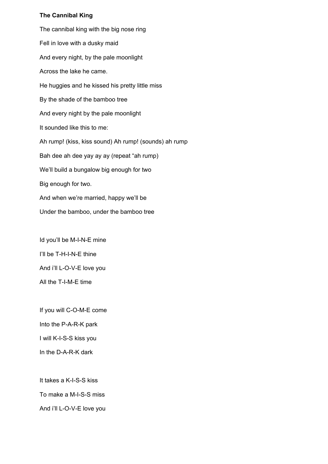## **The Cannibal King**

The cannibal king with the big nose ring Fell in love with a dusky maid And every night, by the pale moonlight Across the lake he came. He huggies and he kissed his pretty little miss By the shade of the bamboo tree And every night by the pale moonlight It sounded like this to me: Ah rump! (kiss, kiss sound) Ah rump! (sounds) ah rump Bah dee ah dee yay ay ay (repeat "ah rump) We'll build a bungalow big enough for two Big enough for two. And when we're married, happy we'll be Under the bamboo, under the bamboo tree

Id you'll be M-I-N-E mine I'll be T-H-I-N-E thine And i'll L-O-V-E love you All the T-I-M-E time

If you will C-O-M-E come

Into the P-A-R-K park

I will K-I-S-S kiss you

In the D-A-R-K dark

It takes a K-I-S-S kiss

To make a M-I-S-S miss

And i'll L-O-V-E love you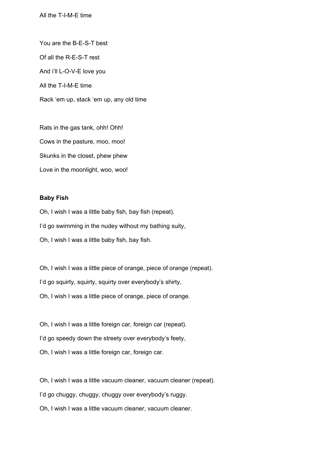You are the B-E-S-T best Of all the R-E-S-T rest And i'll L-O-V-E love you All the T-I-M-E time Rack 'em up, stack 'em up, any old time

Rats in the gas tank, ohh! Ohh! Cows in the pasture, moo, moo! Skunks in the closet, phew phew Love in the moonlight, woo, woo!

#### **Baby Fish**

Oh, I wish I was a little baby fish, bay fish (repeat). I'd go swimming in the nudey without my bathing suity, Oh, I wish I was a little baby fish, bay fish.

Oh, I wish I was a little piece of orange, piece of orange (repeat). I'd go squirty, squirty, squirty over everybody's shirty, Oh, I wish I was a little piece of orange, piece of orange.

Oh, I wish I was a little foreign car, foreign car (repeat).

I'd go speedy down the streety over everybody's feety,

Oh, I wish I was a little foreign car, foreign car.

Oh, I wish I was a little vacuum cleaner, vacuum cleaner (repeat).

I'd go chuggy, chuggy, chuggy over everybody's ruggy.

Oh, I wish I was a little vacuum cleaner, vacuum cleaner.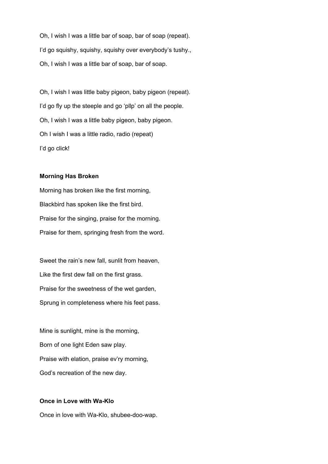Oh, I wish I was a little bar of soap, bar of soap (repeat). I'd go squishy, squishy, squishy over everybody's tushy., Oh, I wish I was a little bar of soap, bar of soap.

Oh, I wish I was little baby pigeon, baby pigeon (repeat). I'd go fly up the steeple and go 'pllp' on all the people. Oh, I wish I was a little baby pigeon, baby pigeon. Oh I wish I was a little radio, radio (repeat) I'd go click!

#### **Morning Has Broken**

Morning has broken like the first morning, Blackbird has spoken like the first bird. Praise for the singing, praise for the morning. Praise for them, springing fresh from the word.

Sweet the rain's new fall, sunlit from heaven, Like the first dew fall on the first grass. Praise for the sweetness of the wet garden, Sprung in completeness where his feet pass.

Mine is sunlight, mine is the morning, Born of one light Eden saw play. Praise with elation, praise ev'ry morning, God's recreation of the new day.

#### **Once in Love with Wa-Klo**

Once in love with Wa-Klo, shubee-doo-wap.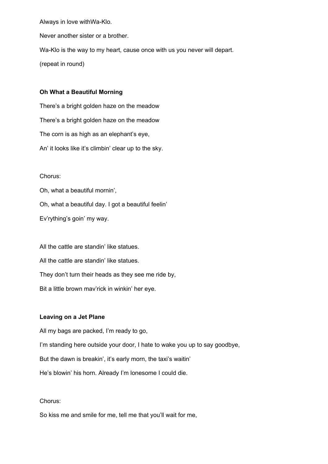Always in love withWa-Klo.

Never another sister or a brother.

Wa-Klo is the way to my heart, cause once with us you never will depart.

(repeat in round)

## **Oh What a Beautiful Morning**

There's a bright golden haze on the meadow There's a bright golden haze on the meadow The corn is as high as an elephant's eye, An' it looks like it's climbin' clear up to the sky.

#### Chorus:

Oh, what a beautiful mornin', Oh, what a beautiful day. I got a beautiful feelin'

Ev'rything's goin' my way.

All the cattle are standin' like statues. All the cattle are standin' like statues. They don't turn their heads as they see me ride by, Bit a little brown mav'rick in winkin' her eye.

## **Leaving on a Jet Plane**

All my bags are packed, I'm ready to go, I'm standing here outside your door, I hate to wake you up to say goodbye, But the dawn is breakin', it's early morn, the taxi's waitin' He's blowin' his horn. Already I'm lonesome I could die.

## Chorus:

So kiss me and smile for me, tell me that you'll wait for me,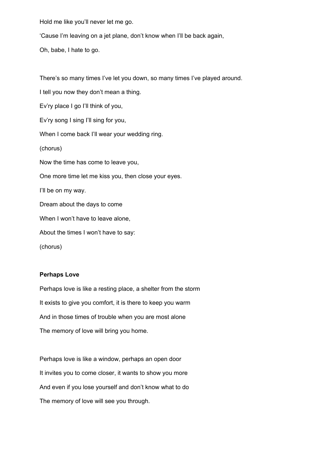Hold me like you'll never let me go.

'Cause I'm leaving on a jet plane, don't know when I'll be back again,

Oh, babe, I hate to go.

There's so many times I've let you down, so many times I've played around.

I tell you now they don't mean a thing.

Ev'ry place I go I'll think of you,

Ev'ry song I sing I'll sing for you,

When I come back I'll wear your wedding ring.

(chorus)

Now the time has come to leave you,

One more time let me kiss you, then close your eyes.

I'll be on my way.

Dream about the days to come

When I won't have to leave alone,

About the times I won't have to say:

(chorus)

## **Perhaps Love**

Perhaps love is like a resting place, a shelter from the storm It exists to give you comfort, it is there to keep you warm And in those times of trouble when you are most alone The memory of love will bring you home.

Perhaps love is like a window, perhaps an open door It invites you to come closer, it wants to show you more And even if you lose yourself and don't know what to do The memory of love will see you through.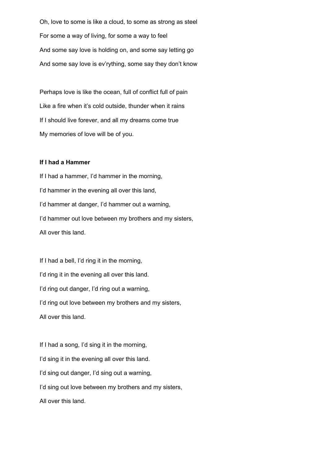Oh, love to some is like a cloud, to some as strong as steel For some a way of living, for some a way to feel And some say love is holding on, and some say letting go And some say love is ev'rything, some say they don't know

Perhaps love is like the ocean, full of conflict full of pain Like a fire when it's cold outside, thunder when it rains If I should live forever, and all my dreams come true My memories of love will be of you.

#### **If I had a Hammer**

If I had a hammer, I'd hammer in the morning, I'd hammer in the evening all over this land, I'd hammer at danger, I'd hammer out a warning, I'd hammer out love between my brothers and my sisters, All over this land.

If I had a bell, I'd ring it in the morning, I'd ring it in the evening all over this land. I'd ring out danger, I'd ring out a warning, I'd ring out love between my brothers and my sisters, All over this land.

If I had a song, I'd sing it in the morning, I'd sing it in the evening all over this land. I'd sing out danger, I'd sing out a warning, I'd sing out love between my brothers and my sisters, All over this land.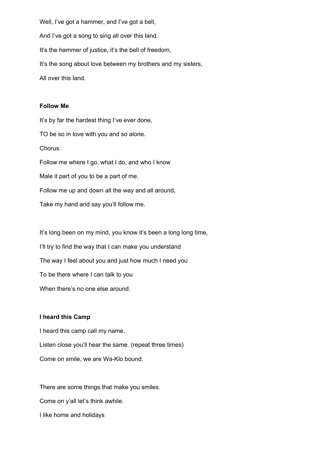Well, I've got a hammer, and I've got a bell, And I've got a song to sing all over this land. It's the hammer of justice, it's the bell of freedom, It's the song about love between my brothers and my sisters, All over this land.

#### **Follow Me**

It's by far the hardest thing I've ever done, TO be so in love with you and so alone. Chorus: Follow me where I go, what I do, and who I know Male it part of you to be a part of me. Follow me up and down all the way and all around, Take my hand and say you'll follow me.

It's long been on my mind, you know it's been a long long time, I'll try to find the way that I can make you understand The way I feel about you and just how much I need you To be there where I can talk to you When there's no one else around.

#### **I heard this Camp**

I heard this camp call my name. Listen close you'll hear the same. (repeat three times) Come on smile, we are Wa-Klo bound.

There are some things that make you smiles. Come on y'all let's think awhile. I like home and holidays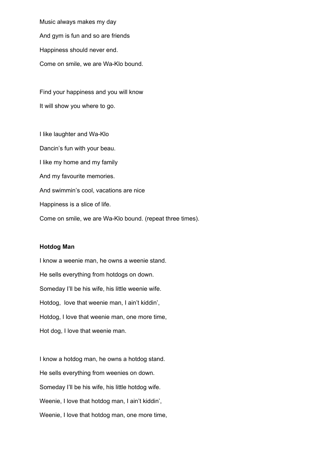Music always makes my day And gym is fun and so are friends Happiness should never end. Come on smile, we are Wa-Klo bound.

Find your happiness and you will know It will show you where to go.

I like laughter and Wa-Klo Dancin's fun with your beau. I like my home and my family And my favourite memories. And swimmin's cool, vacations are nice Happiness is a slice of life. Come on smile, we are Wa-Klo bound. (repeat three times).

## **Hotdog Man**

I know a weenie man, he owns a weenie stand. He sells everything from hotdogs on down. Someday I'll be his wife, his little weenie wife. Hotdog, love that weenie man, I ain't kiddin', Hotdog, I love that weenie man, one more time, Hot dog, I love that weenie man.

I know a hotdog man, he owns a hotdog stand. He sells everything from weenies on down. Someday I'll be his wife, his little hotdog wife. Weenie, I love that hotdog man, I ain't kiddin', Weenie, I love that hotdog man, one more time,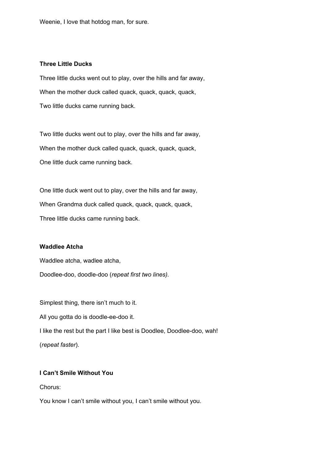Weenie, I love that hotdog man, for sure.

## **Three Little Ducks**

Three little ducks went out to play, over the hills and far away, When the mother duck called quack, quack, quack, quack, Two little ducks came running back.

Two little ducks went out to play, over the hills and far away, When the mother duck called quack, quack, quack, quack, One little duck came running back.

One little duck went out to play, over the hills and far away, When Grandma duck called quack, quack, quack, quack, Three little ducks came running back.

#### **Waddlee Atcha**

Waddlee atcha, wadlee atcha,

Doodlee-doo, doodle-doo (*repeat first two lines).*

Simplest thing, there isn't much to it.

All you gotta do is doodle-ee-doo it.

I like the rest but the part I like best is Doodlee, Doodlee-doo, wah!

(*repeat faster*).

#### **I Can't Smile Without You**

Chorus:

You know I can't smile without you, I can't smile without you.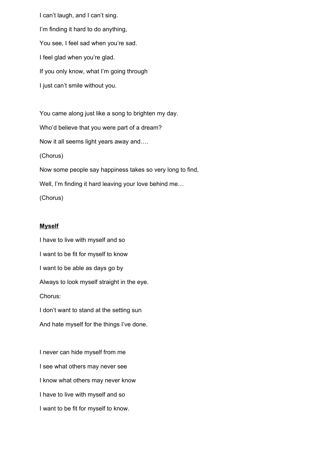I can't laugh, and I can't sing. I'm finding it hard to do anything, You see, I feel sad when you're sad. I feel glad when you're glad. If you only know, what I'm going through I just can't smile without you.

You came along just like a song to brighten my day. Who'd believe that you were part of a dream? Now it all seems light years away and…. (Chorus) Now some people say happiness takes so very long to find, Well, I'm finding it hard leaving your love behind me… (Chorus)

#### **Myself**

I have to live with myself and so I want to be fit for myself to know I want to be able as days go by Always to look myself straight in the eye. Chorus: I don't want to stand at the setting sun And hate myself for the things I've done.

I never can hide myself from me I see what others may never see I know what others may never know I have to live with myself and so I want to be fit for myself to know.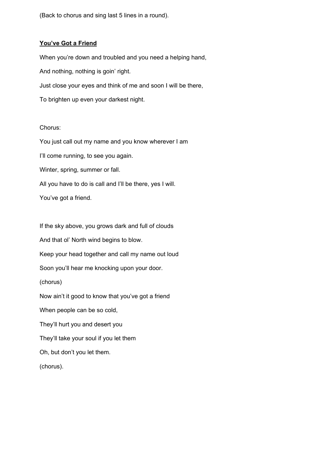(Back to chorus and sing last 5 lines in a round).

#### **You've Got a Friend**

When you're down and troubled and you need a helping hand, And nothing, nothing is goin' right. Just close your eyes and think of me and soon I will be there, To brighten up even your darkest night.

## Chorus:

You just call out my name and you know wherever I am I'll come running, to see you again. Winter, spring, summer or fall. All you have to do is call and I'll be there, yes I will. You've got a friend.

If the sky above, you grows dark and full of clouds And that ol' North wind begins to blow. Keep your head together and call my name out loud Soon you'll hear me knocking upon your door. (chorus) Now ain't it good to know that you've got a friend When people can be so cold, They'll hurt you and desert you They'll take your soul if you let them Oh, but don't you let them. (chorus).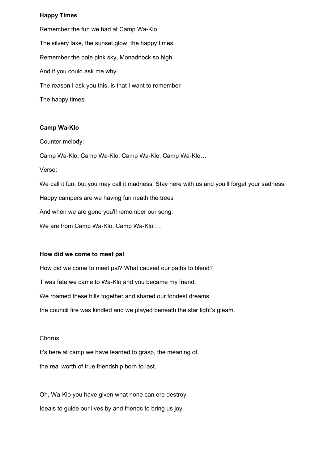# **Happy Times**

Remember the fun we had at Camp Wa-Klo The silvery lake, the sunset glow, the happy times. Remember the pale pink sky, Monadnock so high. And if you could ask me why… The reason I ask you this, is that I want to remember The happy times.

#### **Camp Wa-Klo**

Counter melody:

Camp Wa-Klo, Camp Wa-Klo, Camp Wa-Klo, Camp Wa-Klo…

Verse:

We call it fun, but you may call it madness. Stay here with us and you'll forget your sadness.

Happy campers are we having fun neath the trees

And when we are gone you'll remember our song.

We are from Camp Wa-Klo, Camp Wa-Klo …

#### **How did we come to meet pal**

How did we come to meet pal? What caused our paths to blend?

T'was fate we came to Wa-Klo and you became my friend.

We roamed these hills together and shared our fondest dreams

the council fire was kindled and we played beneath the star light's gleam.

#### Chorus:

It's here at camp we have learned to grasp, the meaning of, the real worth of true friendship born to last.

Oh, Wa-Klo you have given what none can ere destroy. Ideals to guide our lives by and friends to bring us joy.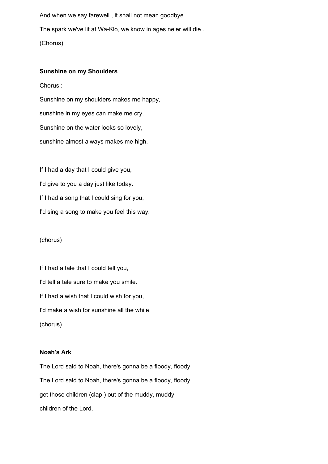And when we say farewell , it shall not mean goodbye.

The spark we've lit at Wa-Klo, we know in ages ne'er will die .

(Chorus)

#### **Sunshine on my Shoulders**

Chorus :

Sunshine on my shoulders makes me happy, sunshine in my eyes can make me cry. Sunshine on the water looks so lovely,

sunshine almost always makes me high.

If I had a day that I could give you, I'd give to you a day just like today. If I had a song that I could sing for you, I'd sing a song to make you feel this way.

(chorus)

If I had a tale that I could tell you, I'd tell a tale sure to make you smile. If I had a wish that I could wish for you, I'd make a wish for sunshine all the while. (chorus)

## **Noah's Ark**

The Lord said to Noah, there's gonna be a floody, floody The Lord said to Noah, there's gonna be a floody, floody get those children (clap ) out of the muddy, muddy children of the Lord.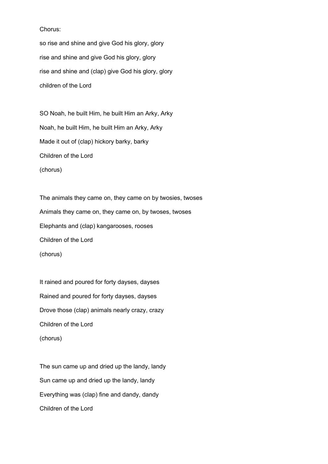#### Chorus:

so rise and shine and give God his glory, glory rise and shine and give God his glory, glory rise and shine and (clap) give God his glory, glory children of the Lord

SO Noah, he built Him, he built Him an Arky, Arky Noah, he built Him, he built Him an Arky, Arky Made it out of (clap) hickory barky, barky Children of the Lord (chorus)

The animals they came on, they came on by twosies, twoses Animals they came on, they came on, by twoses, twoses Elephants and (clap) kangarooses, rooses Children of the Lord (chorus)

It rained and poured for forty dayses, dayses Rained and poured for forty dayses, dayses Drove those (clap) animals nearly crazy, crazy Children of the Lord (chorus)

The sun came up and dried up the landy, landy Sun came up and dried up the landy, landy Everything was (clap) fine and dandy, dandy Children of the Lord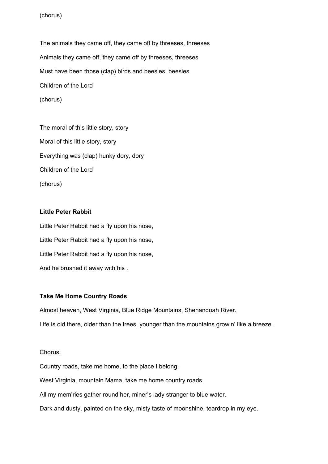(chorus)

The animals they came off, they came off by threeses, threeses Animals they came off, they came off by threeses, threeses Must have been those (clap) birds and beesies, beesies Children of the Lord (chorus)

The moral of this little story, story Moral of this little story, story Everything was (clap) hunky dory, dory Children of the Lord (chorus)

# **Little Peter Rabbit**

Little Peter Rabbit had a fly upon his nose, Little Peter Rabbit had a fly upon his nose, Little Peter Rabbit had a fly upon his nose, And he brushed it away with his .

#### **Take Me Home Country Roads**

Almost heaven, West Virginia, Blue Ridge Mountains, Shenandoah River.

Life is old there, older than the trees, younger than the mountains growin' like a breeze.

Chorus:

Country roads, take me home, to the place I belong.

West Virginia, mountain Mama, take me home country roads.

All my mem'ries gather round her, miner's lady stranger to blue water.

Dark and dusty, painted on the sky, misty taste of moonshine, teardrop in my eye.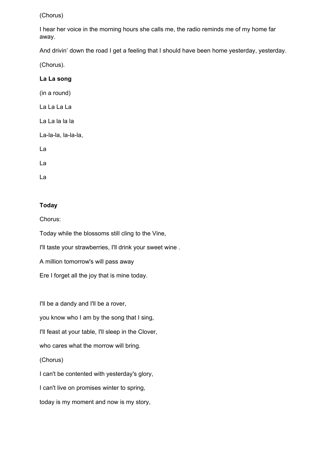(Chorus)

I hear her voice in the morning hours she calls me, the radio reminds me of my home far away.

And drivin' down the road I get a feeling that I should have been home yesterday, yesterday.

(Chorus).

# **La La song**

(in a round)

- La La La La
- La La la la la

La-la-la, la-la-la,

La

La

La

# **Today**

Chorus:

Today while the blossoms still cling to the Vine,

I'll taste your strawberries, I'll drink your sweet wine .

A million tomorrow's will pass away

Ere I forget all the joy that is mine today.

I'll be a dandy and I'll be a rover,

you know who I am by the song that I sing,

I'll feast at your table, I'll sleep in the Clover,

who cares what the morrow will bring.

(Chorus)

I can't be contented with yesterday's glory,

I can't live on promises winter to spring,

today is my moment and now is my story,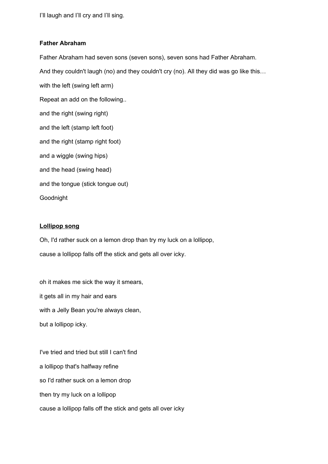I'll laugh and I'll cry and I'll sing.

#### **Father Abraham**

Father Abraham had seven sons (seven sons), seven sons had Father Abraham.

And they couldn't laugh (no) and they couldn't cry (no). All they did was go like this…

with the left (swing left arm)

Repeat an add on the following..

and the right (swing right)

and the left (stamp left foot)

and the right (stamp right foot)

and a wiggle (swing hips)

and the head (swing head)

and the tongue (stick tongue out)

Goodnight

#### **Lollipop song**

Oh, I'd rather suck on a lemon drop than try my luck on a lollipop, cause a lollipop falls off the stick and gets all over icky.

oh it makes me sick the way it smears, it gets all in my hair and ears with a Jelly Bean you're always clean, but a lollipop icky.

I've tried and tried but still I can't find a lollipop that's halfway refine so I'd rather suck on a lemon drop then try my luck on a lollipop cause a lollipop falls off the stick and gets all over icky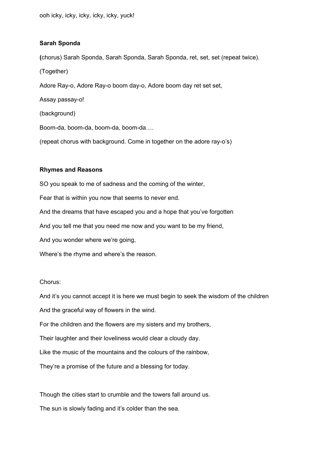#### **Sarah Sponda**

**(**chorus) Sarah Sponda, Sarah Sponda, Sarah Sponda, ret, set, set (repeat twice).

(Together)

Adore Ray-o, Adore Ray-o boom day-o, Adore boom day ret set set,

Assay passay-o!

(background)

Boom-da, boom-da, boom-da, boom-da….

(repeat chorus with background. Come in together on the adore ray-o's)

#### **Rhymes and Reasons**

SO you speak to me of sadness and the coming of the winter,

Fear that is within you now that seems to never end.

And the dreams that have escaped you and a hope that you've forgotten

And you tell me that you need me now and you want to be my friend,

And you wonder where we're going,

Where's the rhyme and where's the reason.

#### Chorus:

And it's you cannot accept it is here we must begin to seek the wisdom of the children

And the graceful way of flowers in the wind.

For the children and the flowers are my sisters and my brothers,

Their laughter and their loveliness would clear a cloudy day.

Like the music of the mountains and the colours of the rainbow,

They're a promise of the future and a blessing for today.

Though the cities start to crumble and the towers fall around us.

The sun is slowly fading and it's colder than the sea.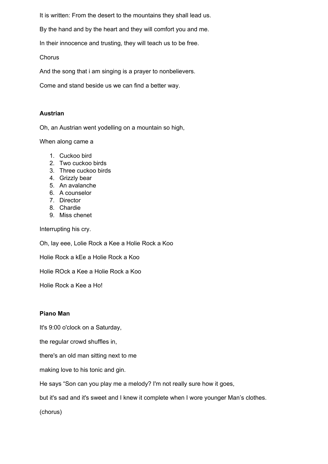It is written: From the desert to the mountains they shall lead us.

By the hand and by the heart and they will comfort you and me.

In their innocence and trusting, they will teach us to be free.

**Chorus** 

And the song that i am singing is a prayer to nonbelievers.

Come and stand beside us we can find a better way.

## **Austrian**

Oh, an Austrian went yodelling on a mountain so high,

When along came a

- 1. Cuckoo bird
- 2. Two cuckoo birds
- 3. Three cuckoo birds
- 4. Grizzly bear
- 5. An avalanche
- 6. A counselor
- 7. Director
- 8. Chardie
- 9. Miss chenet

Interrupting his cry.

Oh, lay eee, Lolie Rock a Kee a Holie Rock a Koo

Holie Rock a kEe a Holie Rock a Koo

Holie ROck a Kee a Holie Rock a Koo

Holie Rock a Kee a Ho!

## **Piano Man**

It's 9:00 o'clock on a Saturday,

the regular crowd shuffles in,

there's an old man sitting next to me

making love to his tonic and gin.

He says "Son can you play me a melody? I'm not really sure how it goes,

but it's sad and it's sweet and I knew it complete when I wore younger Man's clothes.

(chorus)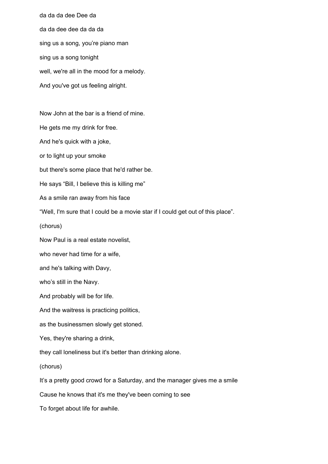da da da dee Dee da da da dee dee da da da sing us a song, you're piano man sing us a song tonight well, we're all in the mood for a melody. And you've got us feeling alright.

Now John at the bar is a friend of mine.

He gets me my drink for free.

And he's quick with a joke,

or to light up your smoke

but there's some place that he'd rather be.

He says "Bill, I believe this is killing me"

As a smile ran away from his face

"Well, I'm sure that I could be a movie star if I could get out of this place".

(chorus)

Now Paul is a real estate novelist,

who never had time for a wife,

and he's talking with Davy,

who's still in the Navy.

And probably will be for life.

And the waitress is practicing politics,

as the businessmen slowly get stoned.

Yes, they're sharing a drink,

they call loneliness but it's better than drinking alone.

(chorus)

It's a pretty good crowd for a Saturday, and the manager gives me a smile

Cause he knows that it's me they've been coming to see

To forget about life for awhile.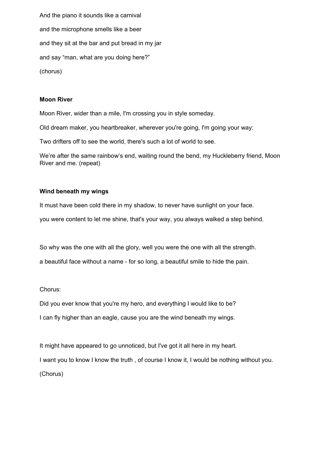And the piano it sounds like a carnival and the microphone smells like a beer and they sit at the bar and put bread in my jar and say "man, what are you doing here?" (chorus)

## **Moon River**

Moon River, wider than a mile, I'm crossing you in style someday.

Old dream maker, you heartbreaker, wherever you're going, I'm going your way:

Two drifters off to see the world, there's such a lot of world to see.

We're after the same rainbow's end, waiting round the bend, my Huckleberry friend, Moon River and me. (repeat)

#### **Wind beneath my wings**

It must have been cold there in my shadow, to never have sunlight on your face.

you were content to let me shine, that's your way, you always walked a step behind.

So why was the one with all the glory, well you were the one with all the strength.

a beautiful face without a name - for so long, a beautiful smile to hide the pain.

Chorus:

Did you ever know that you're my hero, and everything I would like to be?

I can fly higher than an eagle, cause you are the wind beneath my wings.

It might have appeared to go unnoticed, but I've got it all here in my heart. I want you to know I know the truth , of course I know it, I would be nothing without you. (Chorus)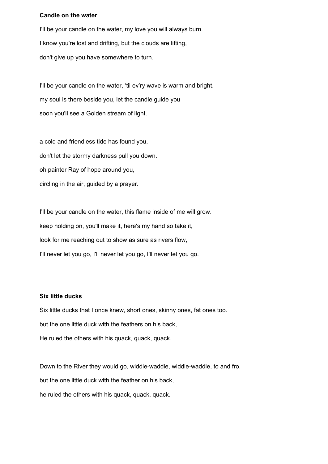#### **Candle on the water**

I'll be your candle on the water, my love you will always burn. I know you're lost and drifting, but the clouds are lifting, don't give up you have somewhere to turn.

I'll be your candle on the water, 'til ev'ry wave is warm and bright. my soul is there beside you, let the candle guide you soon you'll see a Golden stream of light.

a cold and friendless tide has found you, don't let the stormy darkness pull you down. oh painter Ray of hope around you, circling in the air, guided by a prayer.

I'll be your candle on the water, this flame inside of me will grow. keep holding on, you'll make it, here's my hand so take it, look for me reaching out to show as sure as rivers flow, I'll never let you go, I'll never let you go, I'll never let you go.

## **Six little ducks**

Six little ducks that I once knew, short ones, skinny ones, fat ones too. but the one little duck with the feathers on his back, He ruled the others with his quack, quack, quack.

Down to the River they would go, widdle-waddle, widdle-waddle, to and fro, but the one little duck with the feather on his back, he ruled the others with his quack, quack, quack.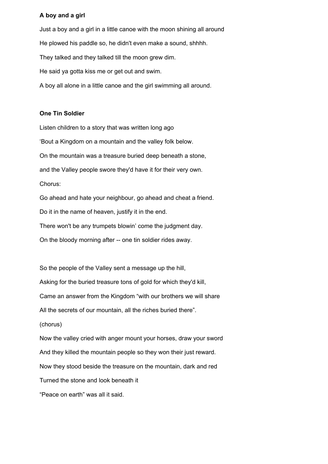#### **A boy and a girl**

Just a boy and a girl in a little canoe with the moon shining all around He plowed his paddle so, he didn't even make a sound, shhhh. They talked and they talked till the moon grew dim. He said ya gotta kiss me or get out and swim.

A boy all alone in a little canoe and the girl swimming all around.

## **One Tin Soldier**

Listen children to a story that was written long ago 'Bout a Kingdom on a mountain and the valley folk below. On the mountain was a treasure buried deep beneath a stone, and the Valley people swore they'd have it for their very own. Chorus: Go ahead and hate your neighbour, go ahead and cheat a friend.

Do it in the name of heaven, justify it in the end.

There won't be any trumpets blowin' come the judgment day.

On the bloody morning after -- one tin soldier rides away.

So the people of the Valley sent a message up the hill, Asking for the buried treasure tons of gold for which they'd kill, Came an answer from the Kingdom "with our brothers we will share All the secrets of our mountain, all the riches buried there". (chorus) Now the valley cried with anger mount your horses, draw your sword And they killed the mountain people so they won their just reward. Now they stood beside the treasure on the mountain, dark and red Turned the stone and look beneath it "Peace on earth" was all it said.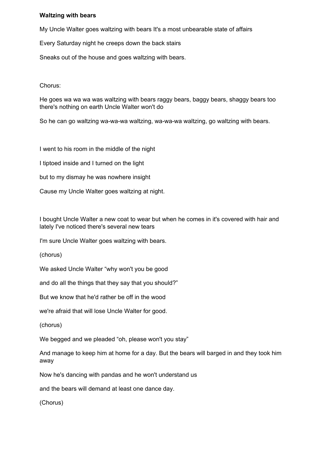## **Waltzing with bears**

My Uncle Walter goes waltzing with bears It's a most unbearable state of affairs

Every Saturday night he creeps down the back stairs

Sneaks out of the house and goes waltzing with bears.

Chorus:

He goes wa wa wa was waltzing with bears raggy bears, baggy bears, shaggy bears too there's nothing on earth Uncle Walter won't do

So he can go waltzing wa-wa-wa waltzing, wa-wa-wa waltzing, go waltzing with bears.

I went to his room in the middle of the night I tiptoed inside and I turned on the light but to my dismay he was nowhere insight Cause my Uncle Walter goes waltzing at night.

I bought Uncle Walter a new coat to wear but when he comes in it's covered with hair and lately I've noticed there's several new tears

I'm sure Uncle Walter goes waltzing with bears.

(chorus)

We asked Uncle Walter "why won't you be good

and do all the things that they say that you should?"

But we know that he'd rather be off in the wood

we're afraid that will lose Uncle Walter for good.

(chorus)

We begged and we pleaded "oh, please won't you stay"

And manage to keep him at home for a day. But the bears will barged in and they took him away

Now he's dancing with pandas and he won't understand us

and the bears will demand at least one dance day.

(Chorus)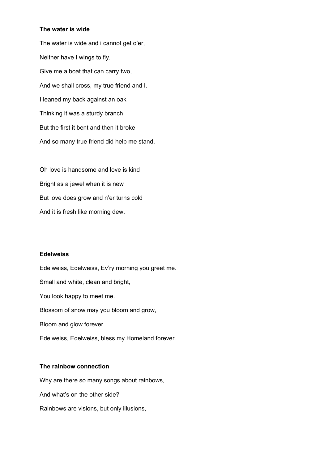#### **The water is wide**

The water is wide and i cannot get o'er, Neither have I wings to fly, Give me a boat that can carry two, And we shall cross, my true friend and I. I leaned my back against an oak Thinking it was a sturdy branch But the first it bent and then it broke And so many true friend did help me stand.

Oh love is handsome and love is kind Bright as a jewel when it is new But love does grow and n'er turns cold And it is fresh like morning dew.

## **Edelweiss**

Edelweiss, Edelweiss, Ev'ry morning you greet me. Small and white, clean and bright, You look happy to meet me. Blossom of snow may you bloom and grow, Bloom and glow forever. Edelweiss, Edelweiss, bless my Homeland forever.

## **The rainbow connection**

Why are there so many songs about rainbows,

And what's on the other side?

Rainbows are visions, but only illusions,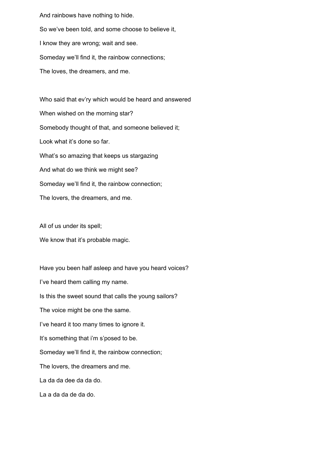And rainbows have nothing to hide. So we've been told, and some choose to believe it, I know they are wrong; wait and see. Someday we'll find it, the rainbow connections; The loves, the dreamers, and me.

Who said that ev'ry which would be heard and answered When wished on the morning star? Somebody thought of that, and someone believed it; Look what it's done so far. What's so amazing that keeps us stargazing And what do we think we might see? Someday we'll find it, the rainbow connection; The lovers, the dreamers, and me.

All of us under its spell;

We know that it's probable magic.

Have you been half asleep and have you heard voices? I've heard them calling my name. Is this the sweet sound that calls the young sailors? The voice might be one the same. I've heard it too many times to ignore it. It's something that i'm s'posed to be. Someday we'll find it, the rainbow connection; The lovers, the dreamers and me. La da da dee da da do. La a da da de da do.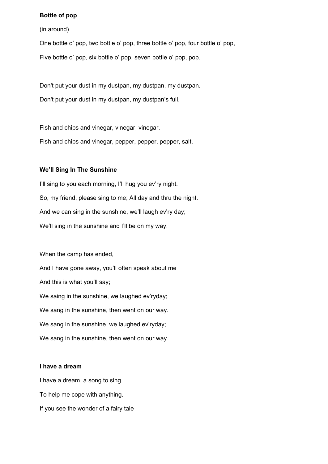#### **Bottle of pop**

(in around)

One bottle o' pop, two bottle o' pop, three bottle o' pop, four bottle o' pop, Five bottle o' pop, six bottle o' pop, seven bottle o' pop, pop.

Don't put your dust in my dustpan, my dustpan, my dustpan. Don't put your dust in my dustpan, my dustpan's full.

Fish and chips and vinegar, vinegar, vinegar.

Fish and chips and vinegar, pepper, pepper, pepper, salt.

### **We'll Sing In The Sunshine**

I'll sing to you each morning, I'll hug you ev'ry night. So, my friend, please sing to me; All day and thru the night. And we can sing in the sunshine, we'll laugh ev'ry day; We'll sing in the sunshine and I'll be on my way.

When the camp has ended, And I have gone away, you'll often speak about me And this is what you'll say; We saing in the sunshine, we laughed ev'ryday; We sang in the sunshine, then went on our way. We sang in the sunshine, we laughed ev'ryday; We sang in the sunshine, then went on our way.

#### **I have a dream**

I have a dream, a song to sing To help me cope with anything. If you see the wonder of a fairy tale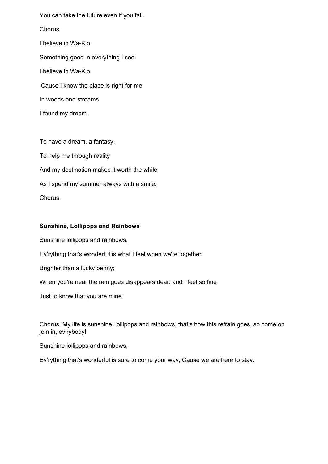You can take the future even if you fail. Chorus: I believe in Wa-Klo, Something good in everything I see. I believe in Wa-Klo 'Cause I know the place is right for me. In woods and streams I found my dream.

To have a dream, a fantasy, To help me through reality And my destination makes it worth the while As I spend my summer always with a smile. Chorus.

#### **Sunshine, Lollipops and Rainbows**

Sunshine lollipops and rainbows,

Ev'rything that's wonderful is what I feel when we're together.

Brighter than a lucky penny;

When you're near the rain goes disappears dear, and I feel so fine

Just to know that you are mine.

Chorus: My life is sunshine, lollipops and rainbows, that's how this refrain goes, so come on join in, ev'rybody!

Sunshine lollipops and rainbows,

Ev'rything that's wonderful is sure to come your way, Cause we are here to stay.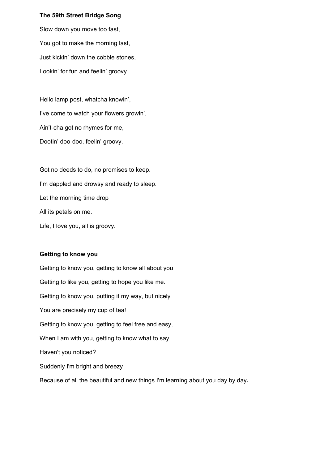#### **The 59th Street Bridge Song**

Slow down you move too fast, You got to make the morning last, Just kickin' down the cobble stones, Lookin' for fun and feelin' groovy.

Hello lamp post, whatcha knowin', I've come to watch your flowers growin', Ain't-cha got no rhymes for me, Dootin' doo-doo, feelin' groovy.

Got no deeds to do, no promises to keep. I'm dappled and drowsy and ready to sleep. Let the morning time drop All its petals on me. Life, I love you, all is groovy.

#### **Getting to know you**

Getting to know you, getting to know all about you Getting to like you, getting to hope you like me. Getting to know you, putting it my way, but nicely You are precisely my cup of tea! Getting to know you, getting to feel free and easy, When I am with you, getting to know what to say. Haven't you noticed? Suddenly I'm bright and breezy Because of all the beautiful and new things I'm learning about you day by day**.**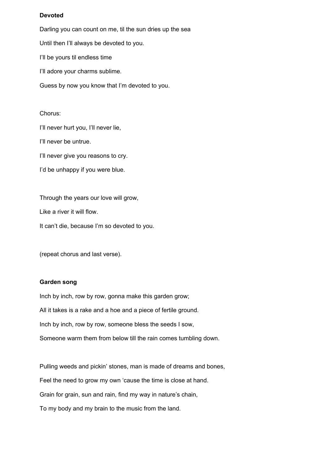## **Devoted**

Darling you can count on me, til the sun dries up the sea Until then I'll always be devoted to you. I'll be yours til endless time I'll adore your charms sublime. Guess by now you know that I'm devoted to you.

#### Chorus:

I'll never hurt you, I'll never lie,

I'll never be untrue.

I'll never give you reasons to cry.

I'd be unhappy if you were blue.

Through the years our love will grow,

Like a river it will flow.

It can't die, because I'm so devoted to you.

(repeat chorus and last verse).

#### **Garden song**

Inch by inch, row by row, gonna make this garden grow; All it takes is a rake and a hoe and a piece of fertile ground. Inch by inch, row by row, someone bless the seeds I sow, Someone warm them from below till the rain comes tumbling down.

Pulling weeds and pickin' stones, man is made of dreams and bones, Feel the need to grow my own 'cause the time is close at hand. Grain for grain, sun and rain, find my way in nature's chain, To my body and my brain to the music from the land.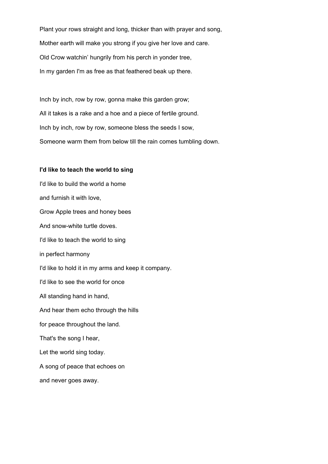Plant your rows straight and long, thicker than with prayer and song, Mother earth will make you strong if you give her love and care. Old Crow watchin' hungrily from his perch in yonder tree, In my garden I'm as free as that feathered beak up there.

Inch by inch, row by row, gonna make this garden grow; All it takes is a rake and a hoe and a piece of fertile ground. Inch by inch, row by row, someone bless the seeds I sow, Someone warm them from below till the rain comes tumbling down.

### **I'd like to teach the world to sing**

I'd like to build the world a home and furnish it with love, Grow Apple trees and honey bees And snow-white turtle doves. I'd like to teach the world to sing in perfect harmony I'd like to hold it in my arms and keep it company. I'd like to see the world for once All standing hand in hand, And hear them echo through the hills for peace throughout the land. That's the song I hear, Let the world sing today. A song of peace that echoes on

and never goes away.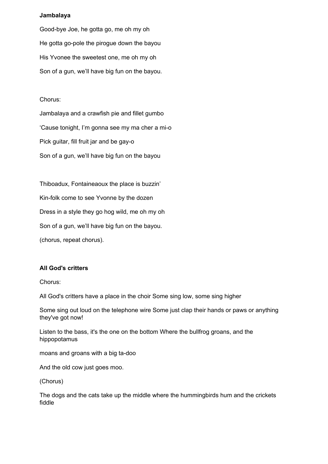#### **Jambalaya**

Good-bye Joe, he gotta go, me oh my oh He gotta go-pole the pirogue down the bayou His Yvonee the sweetest one, me oh my oh Son of a gun, we'll have big fun on the bayou.

## Chorus:

Jambalaya and a crawfish pie and fillet gumbo 'Cause tonight, I'm gonna see my ma cher a mi-o Pick guitar, fill fruit jar and be gay-o Son of a gun, we'll have big fun on the bayou

Thiboadux, Fontaineaoux the place is buzzin' Kin-folk come to see Yvonne by the dozen Dress in a style they go hog wild, me oh my oh Son of a gun, we'll have big fun on the bayou. (chorus, repeat chorus).

# **All God's critters**

Chorus:

All God's critters have a place in the choir Some sing low, some sing higher

Some sing out loud on the telephone wire Some just clap their hands or paws or anything they've got now!

Listen to the bass, it's the one on the bottom Where the bullfrog groans, and the hippopotamus

moans and groans with a big ta-doo

And the old cow just goes moo.

(Chorus)

The dogs and the cats take up the middle where the hummingbirds hum and the crickets fiddle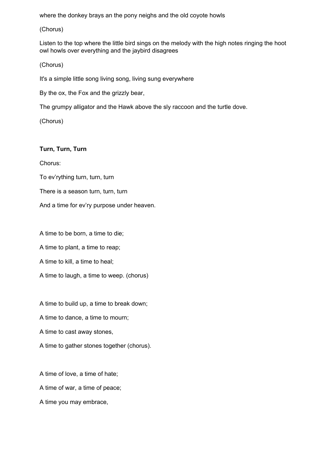where the donkey brays an the pony neighs and the old coyote howls

(Chorus)

Listen to the top where the little bird sings on the melody with the high notes ringing the hoot owl howls over everything and the jaybird disagrees

(Chorus)

It's a simple little song living song, living sung everywhere

By the ox, the Fox and the grizzly bear,

The grumpy alligator and the Hawk above the sly raccoon and the turtle dove.

(Chorus)

# **Turn, Turn, Turn**

Chorus:

To ev'rything turn, turn, turn

There is a season turn, turn, turn

And a time for ev'ry purpose under heaven.

A time to be born, a time to die;

A time to plant, a time to reap;

A time to kill, a time to heal;

A time to laugh, a time to weep. (chorus)

A time to build up, a time to break down;

A time to dance, a time to mourn;

A time to cast away stones,

A time to gather stones together (chorus).

A time of love, a time of hate;

A time of war, a time of peace;

A time you may embrace,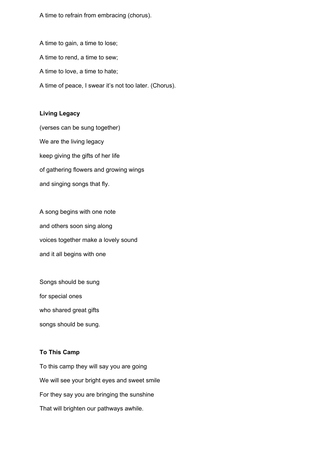A time to refrain from embracing (chorus).

A time to gain, a time to lose;

A time to rend, a time to sew;

A time to love, a time to hate;

A time of peace, I swear it's not too later. (Chorus).

#### **Living Legacy**

(verses can be sung together) We are the living legacy keep giving the gifts of her life of gathering flowers and growing wings and singing songs that fly.

A song begins with one note and others soon sing along voices together make a lovely sound and it all begins with one

Songs should be sung for special ones who shared great gifts

songs should be sung.

## **To This Camp**

To this camp they will say you are going We will see your bright eyes and sweet smile For they say you are bringing the sunshine That will brighten our pathways awhile.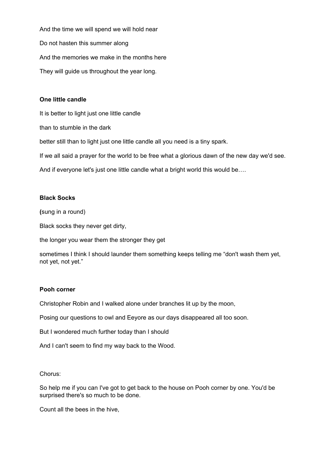And the time we will spend we will hold near Do not hasten this summer along And the memories we make in the months here They will guide us throughout the year long.

## **One little candle**

It is better to light just one little candle than to stumble in the dark better still than to light just one little candle all you need is a tiny spark. If we all said a prayer for the world to be free what a glorious dawn of the new day we'd see. And if everyone let's just one little candle what a bright world this would be….

# **Black Socks**

**(**sung in a round)

Black socks they never get dirty,

the longer you wear them the stronger they get

sometimes I think I should launder them something keeps telling me "don't wash them yet, not yet, not yet."

# **Pooh corner**

Christopher Robin and I walked alone under branches lit up by the moon,

Posing our questions to owl and Eeyore as our days disappeared all too soon.

But I wondered much further today than I should

And I can't seem to find my way back to the Wood.

## Chorus:

So help me if you can I've got to get back to the house on Pooh corner by one. You'd be surprised there's so much to be done.

Count all the bees in the hive,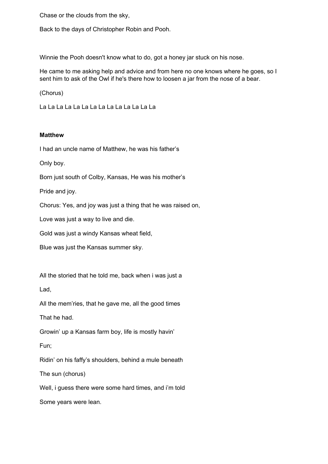Chase or the clouds from the sky,

Back to the days of Christopher Robin and Pooh.

Winnie the Pooh doesn't know what to do, got a honey jar stuck on his nose.

He came to me asking help and advice and from here no one knows where he goes, so I sent him to ask of the Owl if he's there how to loosen a jar from the nose of a bear.

(Chorus)

La La La La La La La La La La La La La La

#### **Matthew**

I had an uncle name of Matthew, he was his father's

Only boy.

Born just south of Colby, Kansas, He was his mother's

Pride and joy.

Chorus: Yes, and joy was just a thing that he was raised on,

Love was just a way to live and die.

Gold was just a windy Kansas wheat field,

Blue was just the Kansas summer sky.

All the storied that he told me, back when i was just a

Lad,

All the mem'ries, that he gave me, all the good times

That he had.

Growin' up a Kansas farm boy, life is mostly havin'

Fun;

Ridin' on his faffy's shoulders, behind a mule beneath

The sun (chorus)

Well, i guess there were some hard times, and i'm told

Some years were lean.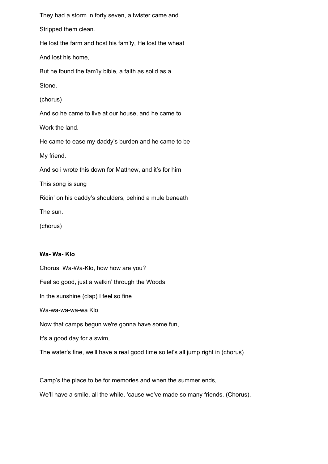They had a storm in forty seven, a twister came and Stripped them clean. He lost the farm and host his fam'ly, He lost the wheat And lost his home, But he found the fam'ly bible, a faith as solid as a Stone. (chorus) And so he came to live at our house, and he came to Work the land. He came to ease my daddy's burden and he came to be My friend. And so i wrote this down for Matthew, and it's for him This song is sung Ridin' on his daddy's shoulders, behind a mule beneath The sun. (chorus)

# **Wa- Wa- Klo**

Chorus: Wa-Wa-Klo, how how are you? Feel so good, just a walkin' through the Woods In the sunshine (clap) I feel so fine Wa-wa-wa-wa-wa Klo Now that camps begun we're gonna have some fun, It's a good day for a swim,

The water's fine, we'll have a real good time so let's all jump right in (chorus)

Camp's the place to be for memories and when the summer ends,

We'll have a smile, all the while, 'cause we've made so many friends. (Chorus).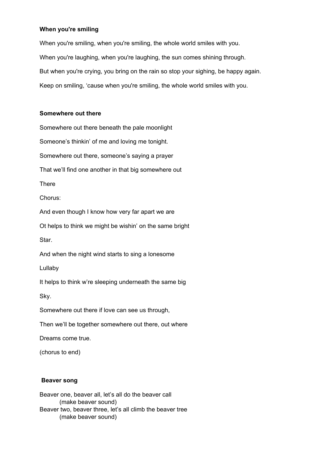## **When you're smiling**

When you're smiling, when you're smiling, the whole world smiles with you. When you're laughing, when you're laughing, the sun comes shining through. But when you're crying, you bring on the rain so stop your sighing, be happy again. Keep on smiling, 'cause when you're smiling, the whole world smiles with you.

#### **Somewhere out there**

Somewhere out there beneath the pale moonlight Someone's thinkin' of me and loving me tonight. Somewhere out there, someone's saying a prayer That we'll find one another in that big somewhere out There Chorus: And even though I know how very far apart we are Ot helps to think we might be wishin' on the same bright Star. And when the night wind starts to sing a lonesome Lullaby It helps to think w're sleeping underneath the same big Sky. Somewhere out there if love can see us through, Then we'll be together somewhere out there, out where Dreams come true.

(chorus to end)

#### **Beaver song**

Beaver one, beaver all, let's all do the beaver call (make beaver sound) Beaver two, beaver three, let's all climb the beaver tree (make beaver sound)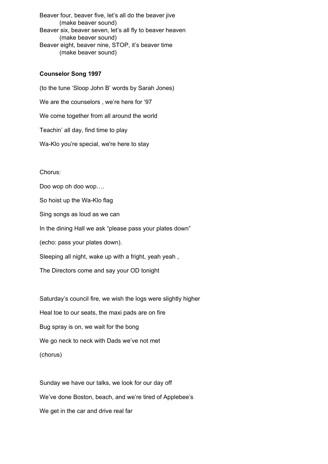Beaver four, beaver five, let's all do the beaver jive (make beaver sound) Beaver six, beaver seven, let's all fly to beaver heaven (make beaver sound) Beaver eight, beaver nine, STOP, it's beaver time (make beaver sound)

#### **Counselor Song 1997**

(to the tune 'Sloop John B' words by Sarah Jones) We are the counselors , we're here for '97 We come together from all around the world Teachin' all day, find time to play Wa-Klo you're special, we're here to stay

Chorus:

Doo wop oh doo wop….

So hoist up the Wa-Klo flag

Sing songs as loud as we can

In the dining Hall we ask "please pass your plates down"

(echo: pass your plates down).

Sleeping all night, wake up with a fright, yeah yeah ,

The Directors come and say your OD tonight

Saturday's council fire, we wish the logs were slightly higher Heal toe to our seats, the maxi pads are on fire Bug spray is on, we wait for the bong

We go neck to neck with Dads we've not met

(chorus)

Sunday we have our talks, we look for our day off We've done Boston, beach, and we're tired of Applebee's We get in the car and drive real far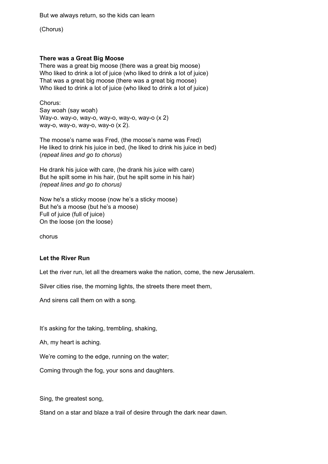But we always return, so the kids can learn

(Chorus)

#### **There was a Great Big Moose**

There was a great big moose (there was a great big moose) Who liked to drink a lot of juice (who liked to drink a lot of juice) That was a great big moose (there was a great big moose) Who liked to drink a lot of juice (who liked to drink a lot of juice)

Chorus: Say woah (say woah) Way-o. way-o, way-o, way-o, way-o, way-o (x 2) way-o, way-o, way-o, way-o (x 2).

The moose's name was Fred, (the moose's name was Fred) He liked to drink his juice in bed, (he liked to drink his juice in bed) (*repeat lines and go to chorus*)

He drank his juice with care, (he drank his juice with care) But he spilt some in his hair, (but he spilt some in his hair) *(repeat lines and go to chorus)*

Now he's a sticky moose (now he's a sticky moose) But he's a moose (but he's a moose) Full of juice (full of juice) On the loose (on the loose)

chorus

## **Let the River Run**

Let the river run, let all the dreamers wake the nation, come, the new Jerusalem.

Silver cities rise, the morning lights, the streets there meet them,

And sirens call them on with a song.

It's asking for the taking, trembling, shaking,

Ah, my heart is aching.

We're coming to the edge, running on the water;

Coming through the fog, your sons and daughters.

Sing, the greatest song,

Stand on a star and blaze a trail of desire through the dark near dawn.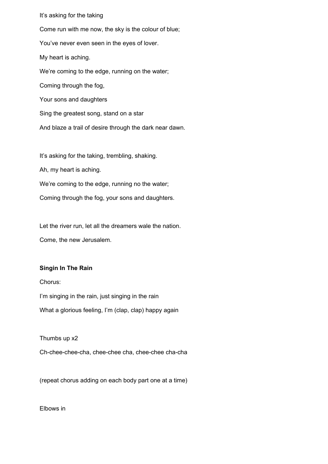It's asking for the taking Come run with me now, the sky is the colour of blue; You've never even seen in the eyes of lover. My heart is aching. We're coming to the edge, running on the water; Coming through the fog, Your sons and daughters Sing the greatest song, stand on a star And blaze a trail of desire through the dark near dawn.

It's asking for the taking, trembling, shaking. Ah, my heart is aching. We're coming to the edge, running no the water; Coming through the fog, your sons and daughters.

Let the river run, let all the dreamers wale the nation. Come, the new Jerusalem.

## **Singin In The Rain**

Chorus: I'm singing in the rain, just singing in the rain What a glorious feeling, I'm (clap, clap) happy again

Thumbs up x2 Ch-chee-chee-cha, chee-chee cha, chee-chee cha-cha

(repeat chorus adding on each body part one at a time)

Elbows in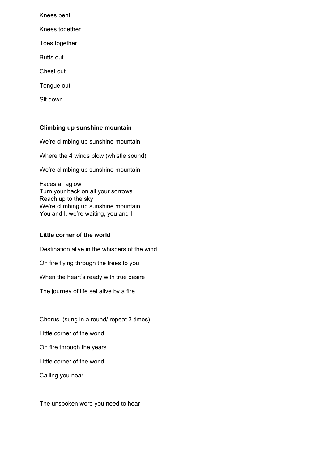Knees bent

Knees together

Toes together

Butts out

Chest out

Tongue out

Sit down

# **Climbing up sunshine mountain**

We're climbing up sunshine mountain

Where the 4 winds blow (whistle sound)

We're climbing up sunshine mountain

Faces all aglow Turn your back on all your sorrows Reach up to the sky We're climbing up sunshine mountain You and I, we're waiting, you and I

## **Little corner of the world**

Destination alive in the whispers of the wind On fire flying through the trees to you When the heart's ready with true desire The journey of life set alive by a fire.

Chorus: (sung in a round/ repeat 3 times)

Little corner of the world

On fire through the years

Little corner of the world

Calling you near.

The unspoken word you need to hear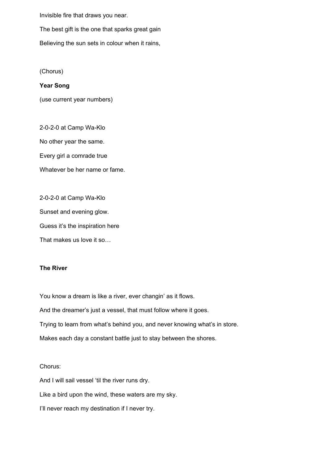Invisible fire that draws you near.

The best gift is the one that sparks great gain

Believing the sun sets in colour when it rains,

(Chorus)

#### **Year Song**

(use current year numbers)

2-0-2-0 at Camp Wa-Klo No other year the same. Every girl a comrade true Whatever be her name or fame.

2-0-2-0 at Camp Wa-Klo Sunset and evening glow. Guess it's the inspiration here That makes us love it so…

# **The River**

You know a dream is like a river, ever changin' as it flows. And the dreamer's just a vessel, that must follow where it goes. Trying to learn from what's behind you, and never knowing what's in store. Makes each day a constant battle just to stay between the shores.

## Chorus:

And I will sail vessel 'til the river runs dry. Like a bird upon the wind, these waters are my sky. I'll never reach my destination if I never try.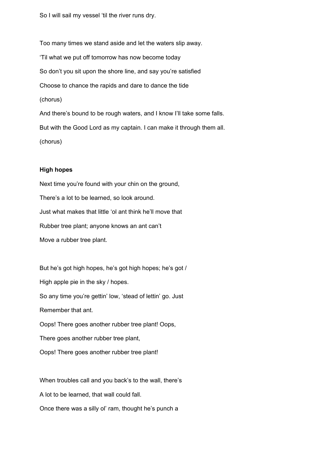So I will sail my vessel 'til the river runs dry.

Too many times we stand aside and let the waters slip away. 'Til what we put off tomorrow has now become today So don't you sit upon the shore line, and say you're satisfied Choose to chance the rapids and dare to dance the tide (chorus) And there's bound to be rough waters, and I know I'll take some falls. But with the Good Lord as my captain. I can make it through them all. (chorus)

#### **High hopes**

Next time you're found with your chin on the ground, There's a lot to be learned, so look around. Just what makes that little 'ol ant think he'll move that Rubber tree plant; anyone knows an ant can't Move a rubber tree plant.

But he's got high hopes, he's got high hopes; he's got / High apple pie in the sky / hopes. So any time you're gettin' low, 'stead of lettin' go. Just Remember that ant. Oops! There goes another rubber tree plant! Oops, There goes another rubber tree plant, Oops! There goes another rubber tree plant!

When troubles call and you back's to the wall, there's A lot to be learned, that wall could fall. Once there was a silly ol' ram, thought he's punch a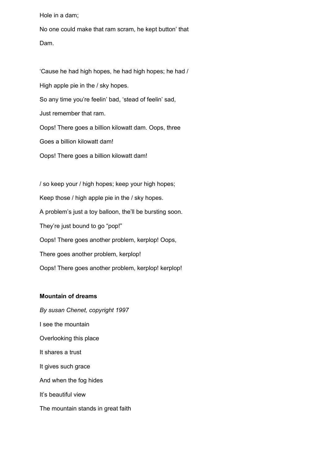Hole in a dam;

No one could make that ram scram, he kept button' that Dam.

'Cause he had high hopes, he had high hopes; he had / High apple pie in the / sky hopes. So any time you're feelin' bad, 'stead of feelin' sad, Just remember that ram. Oops! There goes a billion kilowatt dam. Oops, three Goes a billion kilowatt dam! Oops! There goes a billion kilowatt dam!

/ so keep your / high hopes; keep your high hopes; Keep those / high apple pie in the / sky hopes. A problem's just a toy balloon, the'll be bursting soon. They're just bound to go "pop!" Oops! There goes another problem, kerplop! Oops, There goes another problem, kerplop! Oops! There goes another problem, kerplop! kerplop!

## **Mountain of dreams**

*By susan Chenet, copyright 1997* I see the mountain Overlooking this place It shares a trust It gives such grace And when the fog hides It's beautiful view The mountain stands in great faith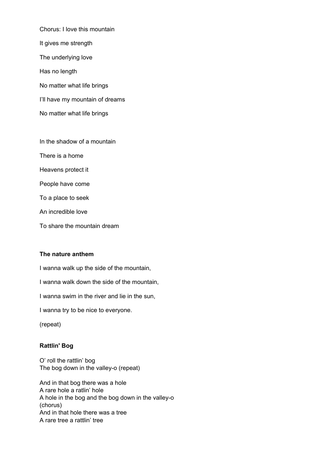Chorus: I love this mountain It gives me strength The underlying love Has no length No matter what life brings I'll have my mountain of dreams No matter what life brings

In the shadow of a mountain

There is a home

Heavens protect it

People have come

To a place to seek

An incredible love

To share the mountain dream

#### **The nature anthem**

I wanna walk up the side of the mountain,

I wanna walk down the side of the mountain,

I wanna swim in the river and lie in the sun,

I wanna try to be nice to everyone.

(repeat)

## **Rattlin' Bog**

O' roll the rattlin' bog The bog down in the valley-o (repeat)

And in that bog there was a hole A rare hole a ratlin' hole A hole in the bog and the bog down in the valley-o (chorus) And in that hole there was a tree A rare tree a rattlin' tree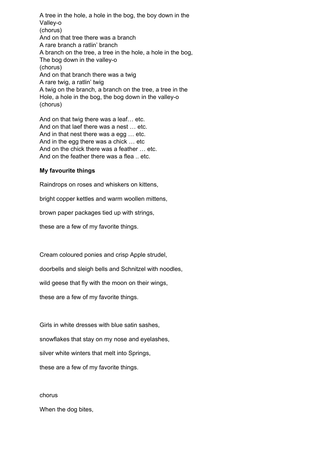A tree in the hole, a hole in the bog, the boy down in the Valley-o (chorus) And on that tree there was a branch A rare branch a ratlin' branch A branch on the tree, a tree in the hole, a hole in the bog, The bog down in the valley-o (chorus) And on that branch there was a twig A rare twig, a ratlin' twig A twig on the branch, a branch on the tree, a tree in the Hole, a hole in the bog, the bog down in the valley-o (chorus)

And on that twig there was a leaf… etc. And on that laef there was a nest … etc. And in that nest there was a egg … etc. And in the egg there was a chick … etc And on the chick there was a feather … etc. And on the feather there was a flea .. etc.

#### **My favourite things**

Raindrops on roses and whiskers on kittens,

bright copper kettles and warm woollen mittens,

brown paper packages tied up with strings,

these are a few of my favorite things.

Cream coloured ponies and crisp Apple strudel,

doorbells and sleigh bells and Schnitzel with noodles,

wild geese that fly with the moon on their wings,

these are a few of my favorite things.

Girls in white dresses with blue satin sashes, snowflakes that stay on my nose and eyelashes, silver white winters that melt into Springs, these are a few of my favorite things.

chorus

When the dog bites,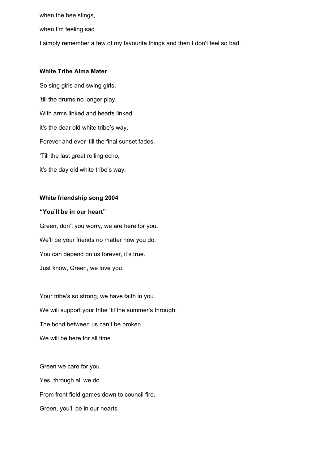when the bee stings,

when I'm feeling sad.

I simply remember a few of my favourite things and then I don't feel so bad.

#### **White Tribe Alma Mater**

So sing girls and swing girls, 'till the drums no longer play. With arms linked and hearts linked, it's the dear old white tribe's way. Forever and ever 'till the final sunset fades. 'Till the last great rolling echo, it's the day old white tribe's way.

#### **White friendship song 2004**

#### **"You'll be in our heart"**

Green, don't you worry, we are here for you. We'll be your friends no matter how you do. You can depend on us forever, it's true. Just know, Green, we love you.

Your tribe's so strong, we have faith in you. We will support your tribe 'til the summer's through. The bond between us can't be broken. We will be here for all time.

Green we care for you. Yes, through all we do. From front field games down to council fire. Green, you'll be in our hearts.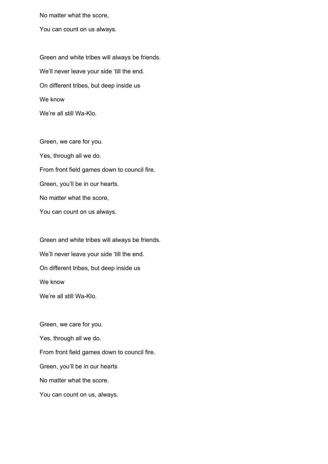No matter what the score,

You can count on us always.

Green and white tribes will always be friends. We'll never leave your side 'till the end. On different tribes, but deep inside us We know We're all still Wa-Klo.

Green, we care for you. Yes, through all we do. From front field games down to council fire. Green, you'll be in our hearts. No matter what the score, You can count on us always.

Green and white tribes will always be friends. We'll never leave your side 'till the end. On different tribes, but deep inside us We know We're all still Wa-Klo.

Green, we care for you.

Yes, through all we do.

From front field games down to council fire.

Green, you'll be in our hearts

No matter what the score.

You can count on us, always.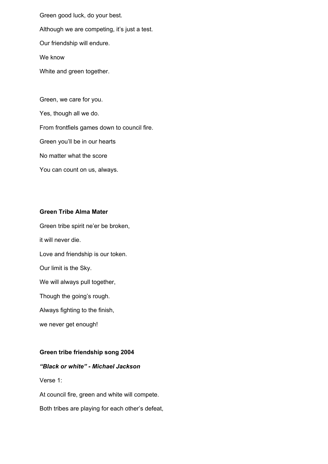Green good luck, do your best.

Although we are competing, it's just a test.

Our friendship will endure.

We know

White and green together.

Green, we care for you.

Yes, though all we do.

From frontfiels games down to council fire.

Green you'll be in our hearts

No matter what the score

You can count on us, always.

## **Green Tribe Alma Mater**

Green tribe spirit ne'er be broken,

it will never die.

Love and friendship is our token.

Our limit is the Sky.

We will always pull together,

Though the going's rough.

Always fighting to the finish,

we never get enough!

## **Green tribe friendship song 2004**

## *"Black or white" - Michael Jackson*

Verse 1:

At council fire, green and white will compete.

Both tribes are playing for each other's defeat,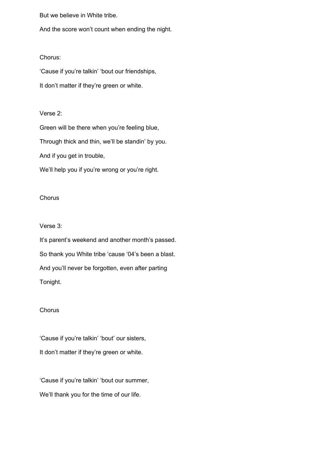But we believe in White tribe.

And the score won't count when ending the night.

Chorus:

'Cause if you're talkin' 'bout our friendships, It don't matter if they're green or white.

Verse 2:

Green will be there when you're feeling blue,

Through thick and thin, we'll be standin' by you.

And if you get in trouble,

We'll help you if you're wrong or you're right.

#### **Chorus**

#### Verse 3:

It's parent's weekend and another month's passed. So thank you White tribe 'cause '04's been a blast. And you'll never be forgotten, even after parting Tonight.

## **Chorus**

'Cause if you're talkin' 'bout' our sisters, It don't matter if they're green or white.

'Cause if you're talkin' 'bout our summer, We'll thank you for the time of our life.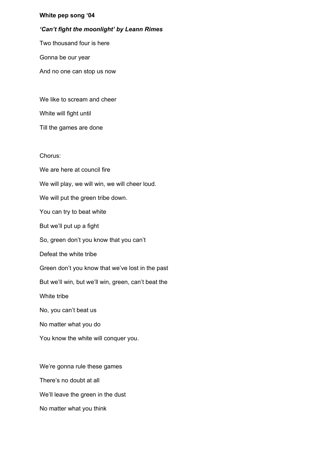#### **White pep song '04**

*'Can't fight the moonlight' by Leann Rimes*

Two thousand four is here

Gonna be our year

And no one can stop us now

We like to scream and cheer White will fight until

Till the games are done

Chorus:

We are here at council fire We will play, we will win, we will cheer loud. We will put the green tribe down. You can try to beat white But we'll put up a fight So, green don't you know that you can't Defeat the white tribe Green don't you know that we've lost in the past But we'll win, but we'll win, green, can't beat the White tribe No, you can't beat us No matter what you do You know the white will conquer you.

We're gonna rule these games There's no doubt at all We'll leave the green in the dust No matter what you think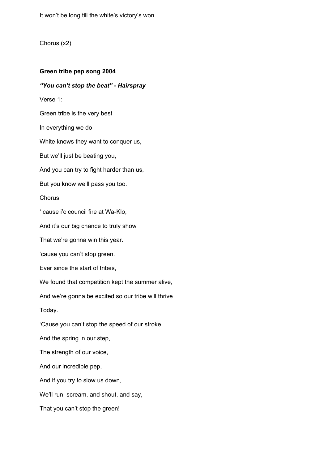It won't be long till the white's victory's won

Chorus (x2)

#### **Green tribe pep song 2004**

## *"You can't stop the beat" - Hairspray*

Verse 1:

Green tribe is the very best

In everything we do

White knows they want to conquer us,

But we'll just be beating you,

And you can try to fight harder than us,

But you know we'll pass you too.

Chorus:

' cause i'c council fire at Wa-Klo,

And it's our big chance to truly show

That we're gonna win this year.

'cause you can't stop green.

Ever since the start of tribes,

We found that competition kept the summer alive,

And we're gonna be excited so our tribe will thrive

Today.

'Cause you can't stop the speed of our stroke,

And the spring in our step,

The strength of our voice,

And our incredible pep,

And if you try to slow us down,

We'll run, scream, and shout, and say,

That you can't stop the green!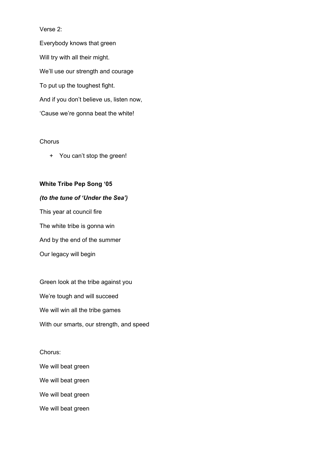### Verse 2:

Everybody knows that green Will try with all their might. We'll use our strength and courage To put up the toughest fight. And if you don't believe us, listen now, 'Cause we're gonna beat the white!

# **Chorus**

+ You can't stop the green!

## **White Tribe Pep Song '05**

## *(to the tune of 'Under the Sea')*

This year at council fire The white tribe is gonna win And by the end of the summer Our legacy will begin

Green look at the tribe against you We're tough and will succeed We will win all the tribe games With our smarts, our strength, and speed

#### Chorus:

We will beat green We will beat green We will beat green We will beat green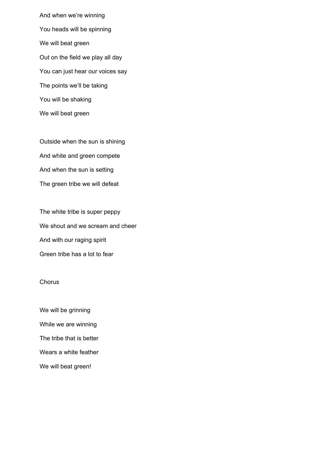And when we're winning You heads will be spinning We will beat green Out on the field we play all day You can just hear our voices say The points we'll be taking You will be shaking We will beat green

Outside when the sun is shining And white and green compete And when the sun is setting The green tribe we will defeat

The white tribe is super peppy We shout and we scream and cheer And with our raging spirit Green tribe has a lot to fear

## Chorus

We will be grinning While we are winning The tribe that is better Wears a white feather We will beat green!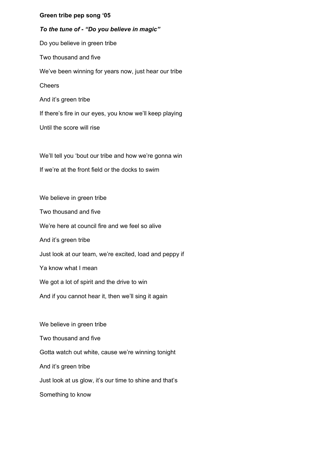#### **Green tribe pep song '05**

*To the tune of - "Do you believe in magic"* Do you believe in green tribe Two thousand and five We've been winning for years now, just hear our tribe Cheers And it's green tribe If there's fire in our eyes, you know we'll keep playing

Until the score will rise

We'll tell you 'bout our tribe and how we're gonna win If we're at the front field or the docks to swim

We believe in green tribe Two thousand and five We're here at council fire and we feel so alive And it's green tribe Just look at our team, we're excited, load and peppy if Ya know what I mean We got a lot of spirit and the drive to win And if you cannot hear it, then we'll sing it again

We believe in green tribe Two thousand and five Gotta watch out white, cause we're winning tonight And it's green tribe Just look at us glow, it's our time to shine and that's Something to know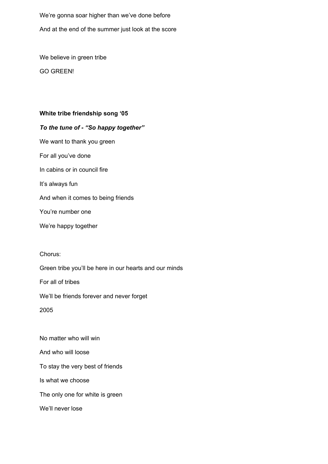We're gonna soar higher than we've done before And at the end of the summer just look at the score

We believe in green tribe

GO GREEN!

# **White tribe friendship song '05**

# *To the tune of - "So happy together"*

We want to thank you green

For all you've done

In cabins or in council fire

It's always fun

And when it comes to being friends

You're number one

We're happy together

Chorus:

Green tribe you'll be here in our hearts and our minds

For all of tribes

We'll be friends forever and never forget

2005

No matter who will win And who will loose

To stay the very best of friends

Is what we choose

The only one for white is green

We'll never lose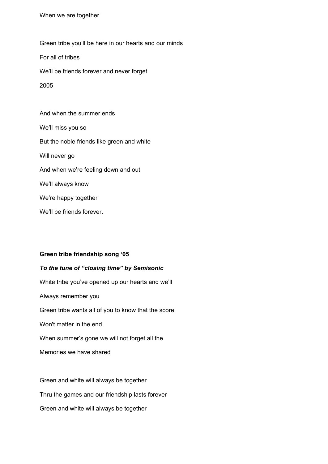When we are together

Green tribe you'll be here in our hearts and our minds For all of tribes We'll be friends forever and never forget 2005 And when the summer ends We'll miss you so

But the noble friends like green and white

Will never go

And when we're feeling down and out

We'll always know

We're happy together

We'll be friends forever.

#### **Green tribe friendship song '05**

## *To the tune of "closing time" by Semisonic*

White tribe you've opened up our hearts and we'll Always remember you Green tribe wants all of you to know that the score Won't matter in the end When summer's gone we will not forget all the Memories we have shared

Green and white will always be together Thru the games and our friendship lasts forever Green and white will always be together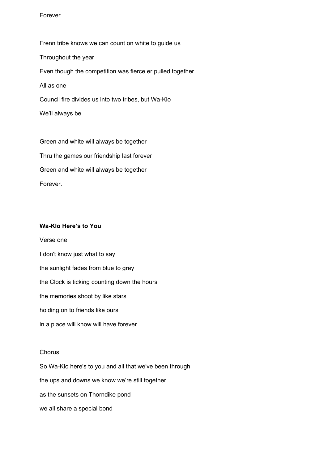#### Forever

Frenn tribe knows we can count on white to guide us Throughout the year Even though the competition was fierce er pulled together All as one Council fire divides us into two tribes, but Wa-Klo We'll always be

Green and white will always be together Thru the games our friendship last forever Green and white will always be together Forever.

## **Wa-Klo Here's to You**

Verse one:

I don't know just what to say the sunlight fades from blue to grey the Clock is ticking counting down the hours the memories shoot by like stars holding on to friends like ours in a place will know will have forever

## Chorus:

So Wa-Klo here's to you and all that we've been through the ups and downs we know we're still together as the sunsets on Thorndike pond we all share a special bond